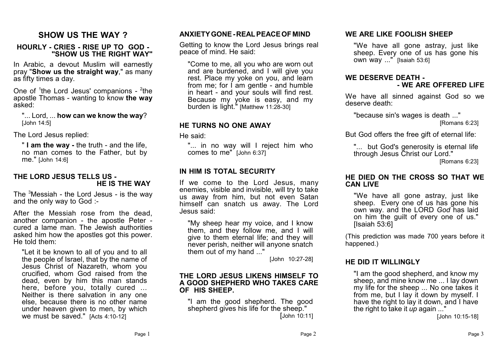# **SHOW US THE WAY ?**

#### **HOURLY - CRIES - RISE UP TO GOD - "SHOW US THE RIGHT WAY"**

In Arabic, a devout Muslim will earnestly pray "**Show us the straight way**," as many as fifty times a day.

One of <sup>1</sup>the Lord Jesus' companions - <sup>2</sup>the apostle Thomas - wanting to know **the way** asked:

"... Lord, ... **how can we know the way**? [John 14:5]

The Lord Jesus replied:

" **I am the way -** the truth - and the life, no man comes to the Father, but by me." [John 14:6]

#### **THE LORD JESUS TELLS US - HE IS THE WAY**

The <sup>3</sup>Messiah - the Lord Jesus - is the way and the only way to God :-

After the Messiah rose from the dead, another companion - the apostle Peter cured a lame man. The Jewish authorities asked him how the apostles got this power. He told them:

"Let it be known to all of you and to all the people of Israel, that by the name of Jesus Christ of Nazareth, whom you crucified, whom God raised from the dead, even by him this man stands here, before you, totally cured ... Neither is there salvation in any one else, because there is no other name under heaven given to men, by which we must be saved." [Acts 4:10-12]

## **ANXIETY GONE - REAL PEACE OF MIND**

Getting to know the Lord Jesus brings real peace of mind. He said:

"Come to me, all you who are worn out and are burdened, and I will give you rest. Place my yoke on you, and learn from me; for I am gentle - and humble in heart - and your souls will find rest. Because my yoke is easy, and my burden is light." [Matthew 11:28-30]

## **HE TURNS NO ONE AWAY**

He said:

"... in no way will I reject him who comes to me" [John 6:37]

## **IN HIM IS TOTAL SECURITY**

If we come to the Lord Jesus, many enemies, visible and invisible, will try to take us away from him, but not even Satan himself can snatch us away. The Lord Jesus said:

"My sheep hear my voice, and I know them, and they follow me, and I will give to them eternal life; and they will never perish, neither will anyone snatch them out of my hand ..."

[John 10:27-28]

#### **THE LORD JESUS LIKENS HIMSELF TO A GOOD SHEPHERD WHO TAKES CARE OF HIS SHEEP.**

"I am the good shepherd. The good shepherd gives his life for the sheep." [John 10:11]

## **WE ARE LIKE FOOLISH SHEEP**

"We have all gone astray, just like sheep. Every one of us has gone his own way ..." [Isaiah 53:6]

#### **WE DESERVE DEATH - - WE ARE OFFERED LIFE**

We have all sinned against God so we deserve death:

"because sin's wages is death ..."

[Romans 6:23]

But God offers the free gift of eternal life:

"... but God's generosity is eternal life through Jesus Christ our Lord."

[Romans 6:23]

#### **HE DIED ON THE CROSS SO THAT WE CAN LIVE**

"We have all gone astray, just like sheep. Every one of us has gone his own way. and the LORD *God* has laid on him the guilt of every one of us." [Isaiah 53:6]

(This prediction was made 700 years before it happened.)

## **HE DID IT WILLINGLY**

"I am the good shepherd, and know my sheep, and mine know me ... I lay down my life for the sheep ... No one takes it from me, but I lay it down by myself. I have the right to lay it down, and I have the right to take it *up* again ..."

[John 10:15-18]